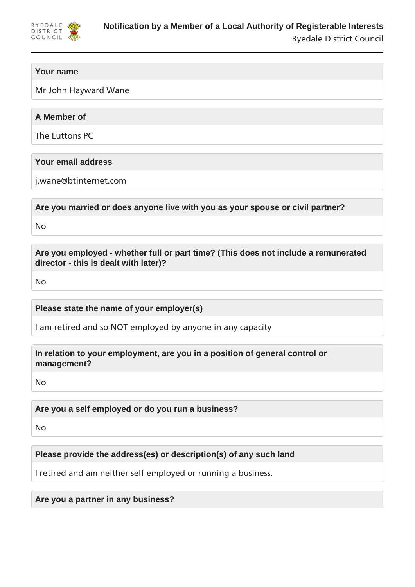

# **Your name**

Mr John Hayward Wane

# **A Member of**

The Luttons PC

# **Your email address**

j.wane@btinternet.com

**Are you married or does anyone live with you as your spouse or civil partner?**

No

**Are you employed - whether full or part time? (This does not include a remunerated director - this is dealt with later)?**

No

**Please state the name of your employer(s)**

I am retired and so NOT employed by anyone in any capacity

**In relation to your employment, are you in a position of general control or management?**

No

**Are you a self employed or do you run a business?**

No

**Please provide the address(es) or description(s) of any such land**

I retired and am neither self employed or running a business.

**Are you a partner in any business?**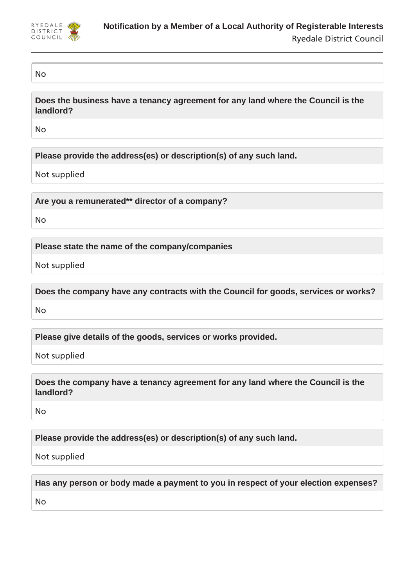

### No

**Does the business have a tenancy agreement for any land where the Council is the landlord?**

No

**Please provide the address(es) or description(s) of any such land.**

Not supplied

**Are you a remunerated\*\* director of a company?**

No

**Please state the name of the company/companies**

Not supplied

**Does the company have any contracts with the Council for goods, services or works?**

No

**Please give details of the goods, services or works provided.**

Not supplied

**Does the company have a tenancy agreement for any land where the Council is the landlord?**

No

**Please provide the address(es) or description(s) of any such land.**

Not supplied

**Has any person or body made a payment to you in respect of your election expenses?**

No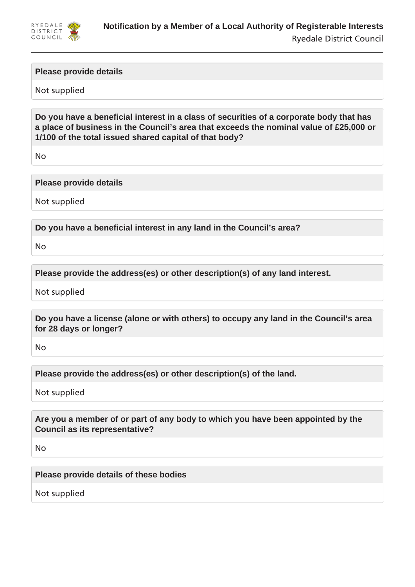

### **Please provide details**

### Not supplied

**Do you have a beneficial interest in a class of securities of a corporate body that has a place of business in the Council's area that exceeds the nominal value of £25,000 or 1/100 of the total issued shared capital of that body?**

No

### **Please provide details**

Not supplied

**Do you have a beneficial interest in any land in the Council's area?**

No

**Please provide the address(es) or other description(s) of any land interest.**

Not supplied

**Do you have a license (alone or with others) to occupy any land in the Council's area for 28 days or longer?**

No

**Please provide the address(es) or other description(s) of the land.**

Not supplied

**Are you a member of or part of any body to which you have been appointed by the Council as its representative?**

No

**Please provide details of these bodies**

Not supplied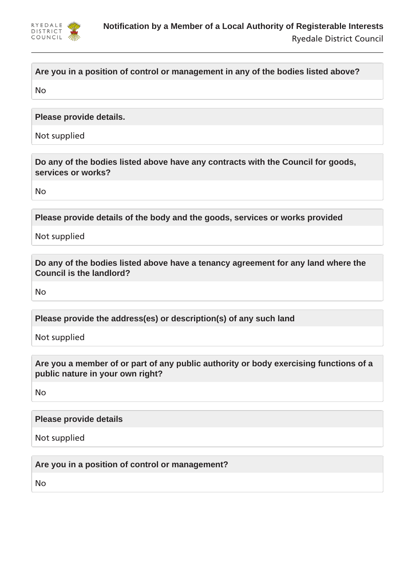

# **Are you in a position of control or management in any of the bodies listed above?**

No

**Please provide details.**

Not supplied

**Do any of the bodies listed above have any contracts with the Council for goods, services or works?**

No

**Please provide details of the body and the goods, services or works provided**

Not supplied

**Do any of the bodies listed above have a tenancy agreement for any land where the Council is the landlord?**

No

**Please provide the address(es) or description(s) of any such land**

Not supplied

**Are you a member of or part of any public authority or body exercising functions of a public nature in your own right?**

No

### **Please provide details**

Not supplied

**Are you in a position of control or management?**

No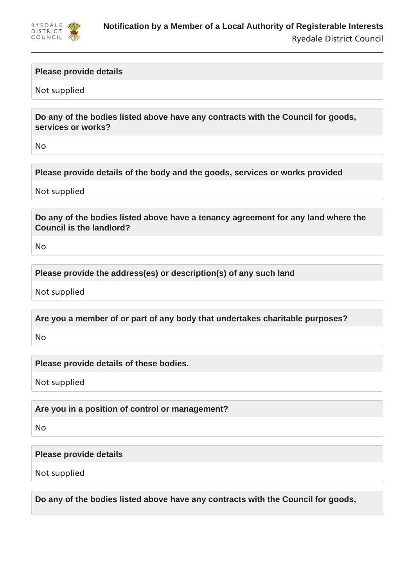

### **Please provide details**

Not supplied

**Do any of the bodies listed above have any contracts with the Council for goods, services or works?**

No

**Please provide details of the body and the goods, services or works provided**

Not supplied

**Do any of the bodies listed above have a tenancy agreement for any land where the Council is the landlord?**

No

**Please provide the address(es) or description(s) of any such land**

Not supplied

**Are you a member of or part of any body that undertakes charitable purposes?**

No

**Please provide details of these bodies.**

Not supplied

**Are you in a position of control or management?**

No

**Please provide details**

Not supplied

**Do any of the bodies listed above have any contracts with the Council for goods,**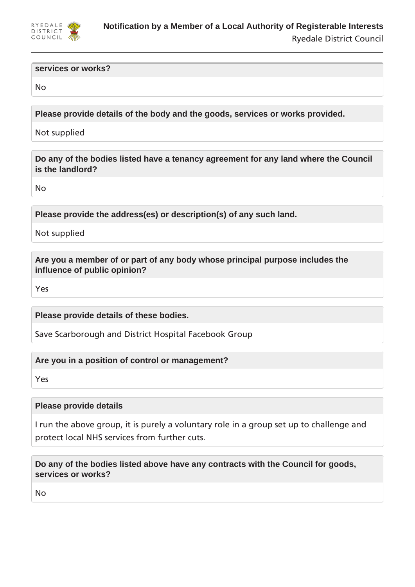

#### **services or works?**

No

**Please provide details of the body and the goods, services or works provided.**

Not supplied

**Do any of the bodies listed have a tenancy agreement for any land where the Council is the landlord?**

No

**Please provide the address(es) or description(s) of any such land.**

Not supplied

**Are you a member of or part of any body whose principal purpose includes the influence of public opinion?**

Yes

**Please provide details of these bodies.**

Save Scarborough and District Hospital Facebook Group

**Are you in a position of control or management?**

Yes

### **Please provide details**

I run the above group, it is purely a voluntary role in a group set up to challenge and protect local NHS services from further cuts.

**Do any of the bodies listed above have any contracts with the Council for goods, services or works?**

No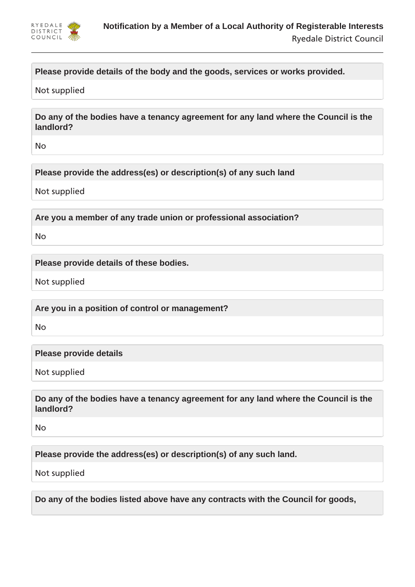

# **Please provide details of the body and the goods, services or works provided.**

Not supplied

**Do any of the bodies have a tenancy agreement for any land where the Council is the landlord?**

No

**Please provide the address(es) or description(s) of any such land**

Not supplied

**Are you a member of any trade union or professional association?**

No

**Please provide details of these bodies.**

Not supplied

**Are you in a position of control or management?**

No

**Please provide details**

Not supplied

**Do any of the bodies have a tenancy agreement for any land where the Council is the landlord?**

No

**Please provide the address(es) or description(s) of any such land.**

Not supplied

**Do any of the bodies listed above have any contracts with the Council for goods,**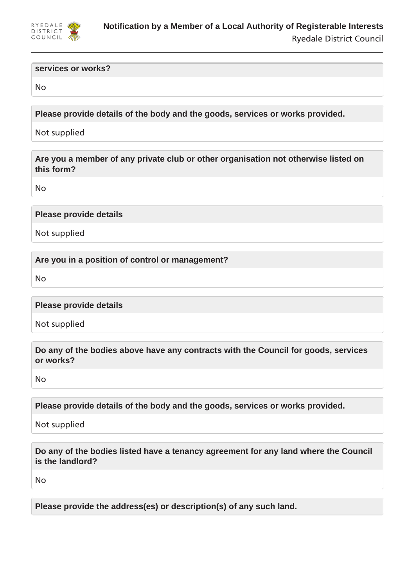

#### **services or works?**

No

**Please provide details of the body and the goods, services or works provided.**

Not supplied

**Are you a member of any private club or other organisation not otherwise listed on this form?**

No

**Please provide details**

Not supplied

**Are you in a position of control or management?**

No

**Please provide details**

Not supplied

**Do any of the bodies above have any contracts with the Council for goods, services or works?**

No

**Please provide details of the body and the goods, services or works provided.**

Not supplied

**Do any of the bodies listed have a tenancy agreement for any land where the Council is the landlord?**

No

**Please provide the address(es) or description(s) of any such land.**